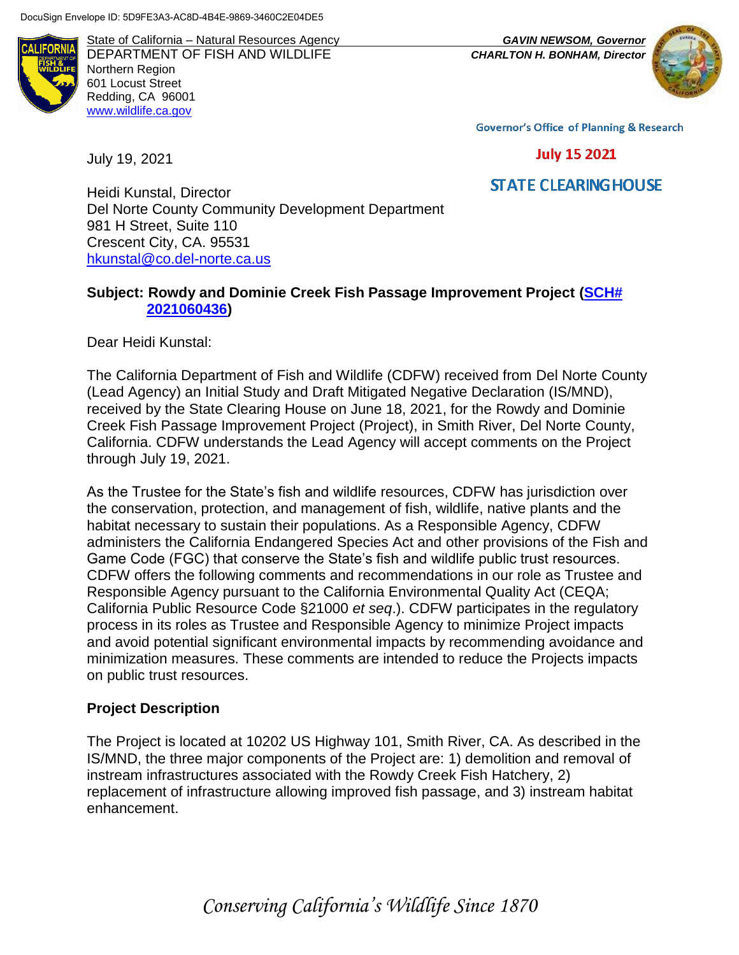AI IFORNI

State of California – Natural Resources Agency *GAVIN NEWSOM, Governor* DEPARTMENT OF FISH AND WILDLIFE *CHARLTON H. BONHAM, Director*  Northern Region 601 Locust Street Redding, CA 96001 [www.wildlife.ca.gov](http://www.cdfw.ca.gov/)

July 19, 2021



**Governor's Office of Planning & Research** 

**July 15 2021** 

**STATE CLEARING HOUSE** 

Heidi Kunstal, Director Del Norte County Community Development Department 981 H Street, Suite 110 Crescent City, CA. 95531 [hkunstal@co.del-norte.ca.us](mailto:hkunstal@co.del-norte.ca.us)

## **Subject: Rowdy and Dominie Creek Fish Passage Improvement Project [\(SCH#](https://ceqanet.opr.ca.gov/2021060436)  [2021060436\)](https://ceqanet.opr.ca.gov/2021060436)**

Dear Heidi Kunstal:

The California Department of Fish and Wildlife (CDFW) received from Del Norte County (Lead Agency) an Initial Study and Draft Mitigated Negative Declaration (IS/MND), received by the State Clearing House on June 18, 2021, for the Rowdy and Dominie Creek Fish Passage Improvement Project (Project), in Smith River, Del Norte County, California. CDFW understands the Lead Agency will accept comments on the Project through July 19, 2021.

As the Trustee for the State's fish and wildlife resources, CDFW has jurisdiction over the conservation, protection, and management of fish, wildlife, native plants and the habitat necessary to sustain their populations. As a Responsible Agency, CDFW administers the California Endangered Species Act and other provisions of the Fish and Game Code (FGC) that conserve the State's fish and wildlife public trust resources. CDFW offers the following comments and recommendations in our role as Trustee and Responsible Agency pursuant to the California Environmental Quality Act (CEQA; California Public Resource Code §21000 *et seq*.). CDFW participates in the regulatory process in its roles as Trustee and Responsible Agency to minimize Project impacts and avoid potential significant environmental impacts by recommending avoidance and minimization measures. These comments are intended to reduce the Projects impacts on public trust resources.

# **Project Description**

The Project is located at 10202 US Highway 101, Smith River, CA. As described in the IS/MND, the three major components of the Project are: 1) demolition and removal of instream infrastructures associated with the Rowdy Creek Fish Hatchery, 2) replacement of infrastructure allowing improved fish passage, and 3) instream habitat enhancement.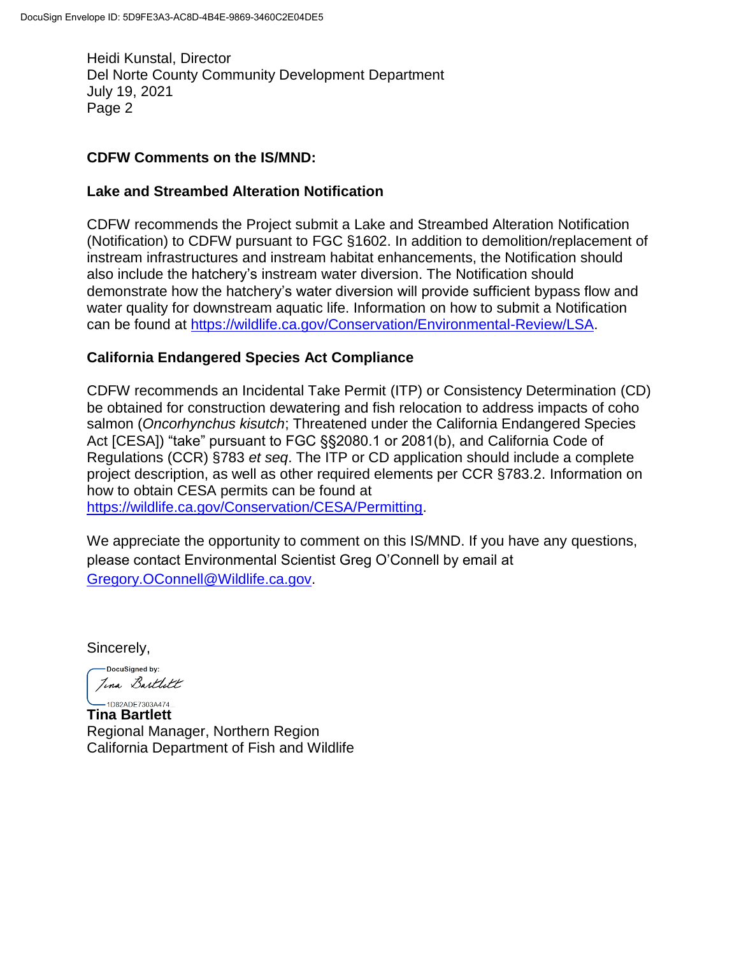Heidi Kunstal, Director Del Norte County Community Development Department July 19, 2021 Page 2

## **CDFW Comments on the IS/MND:**

## **Lake and Streambed Alteration Notification**

CDFW recommends the Project submit a Lake and Streambed Alteration Notification (Notification) to CDFW pursuant to FGC §1602. In addition to demolition/replacement of instream infrastructures and instream habitat enhancements, the Notification should also include the hatchery's instream water diversion. The Notification should demonstrate how the hatchery's water diversion will provide sufficient bypass flow and water quality for downstream aquatic life. Information on how to submit a Notification can be found at [https://wildlife.ca.gov/Conservation/Environmental-Review/LSA.](https://wildlife.ca.gov/Conservation/Environmental-Review/LSA)

# **California Endangered Species Act Compliance**

CDFW recommends an Incidental Take Permit (ITP) or Consistency Determination (CD) be obtained for construction dewatering and fish relocation to address impacts of coho salmon (*Oncorhynchus kisutch*; Threatened under the California Endangered Species Act [CESA]) "take" pursuant to FGC §§2080.1 or 2081(b), and California Code of Regulations (CCR) §783 *et seq*. The ITP or CD application should include a complete project description, as well as other required elements per CCR §783.2. Information on how to obtain CESA permits can be found at [https://wildlife.ca.gov/Conservation/CESA/Permitting.](https://wildlife.ca.gov/Conservation/CESA/Permitting)

We appreciate the opportunity to comment on this IS/MND. If you have any questions, please contact Environmental Scientist Greg O'Connell by email at [Gregory.OConnell@Wildlife.ca.gov.](mailto:Gregory.OConnell@Wildlife.ca.gov)

Sincerely,

-DocuSigned by: Jina Bartlett

**Tina Bartlett** Regional Manager, Northern Region California Department of Fish and Wildlife